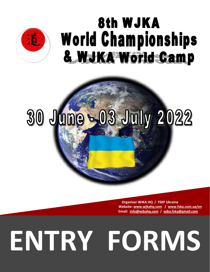

# 8th WJKA **World Championships** & WJKA World Camp

# 30 June = 03 July 2022

 **Organizer WJKA HQ / FSKF Ukraine Website: [www.wjkahq.com](http://www.wjkahq.com/) / [www.fska.com.ua/en](http://www.fska.com.ua/en) Email: [info@wjkahq.com](mailto:info@wjkahq.com) / [wjka.fska@gmail.com](mailto:wjka.fska@gmail.com)**

# **ENTRY FORMS**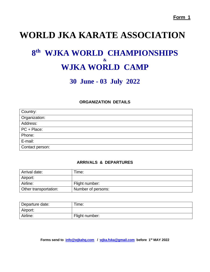# **WORLD JKA KARATE ASSOCIATION**

# **8 th WJKA WORLD CHAMPIONSHIPS & WJKA WORLD CAMP**

# **30 June - 03 July 2022**

#### **ORGANIZATION DETAILS**

| Country:        |
|-----------------|
| Organization:   |
| Address:        |
| PC + Place:     |
| Phone:          |
| E-mail:         |
| Contact person: |

#### **ARRIVALS & DEPARTURES**

| Arrival date:         | Гіmе:              |
|-----------------------|--------------------|
| Airport:              |                    |
| Airline:              | Flight number:     |
| Other transportation: | Number of persons: |

| Departure date: | Time:          |
|-----------------|----------------|
| Airport:        |                |
| Airline:        | Flight number: |

**Forms send to [info@wjkahq.com](mailto:info@wjkahq.com) / [wjka.fska@gmail.com](mailto:wjka.fska@gmail.com) before 1st MAY 2022**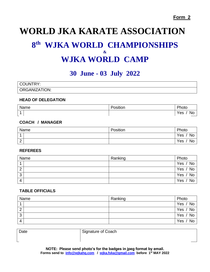# **WORLD JKA KARATE ASSOCIATION 8 th WJKA WORLD CHAMPIONSHIPS & WJKA WORLD CAMP**

### **30 June - 03 July 2022**

| CO<br><b>OUNTRY:</b> |  |
|----------------------|--|
| ORGANIZATION:        |  |

#### **HEAD OF DELEGATION**

| Name | .<br>∽<br>Position | DL.<br>noto      |
|------|--------------------|------------------|
| А    |                    | Yes<br><b>NC</b> |

#### **COACH / MANAGER**

| Name           | Position | Photo     |
|----------------|----------|-----------|
| $\overline{A}$ |          | Yes<br>No |
| $\sim$<br>∠    |          | No<br>Yes |

#### **REFEREES**

| Name | Ranking | Photo           |
|------|---------|-----------------|
|      |         | $'$ No<br>Yes / |
| റ    |         | Yes / No        |
| 3    |         | Yes / No        |
| Δ    |         | No<br>Yes,      |

#### **TABLE OFFICIALS**

| Name | Ranking | Photo                              |
|------|---------|------------------------------------|
| 4    |         | Yes /<br>$'$ No                    |
| 2    |         | $^{\prime}$ No $_{\cdot}$<br>Yes / |
| 3    |         | Yes / No                           |
| 4    |         | No<br>Yes.                         |

Date Signature of Coach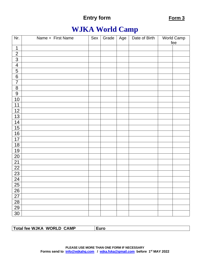# **WJKA World Camp**

| Nr.            | Name + First Name | Sex | Grade | Age | Date of Birth | <b>World Camp</b><br>fee |
|----------------|-------------------|-----|-------|-----|---------------|--------------------------|
| $\mathbf 1$    |                   |     |       |     |               |                          |
| $\overline{2}$ |                   |     |       |     |               |                          |
| $\overline{3}$ |                   |     |       |     |               |                          |
| $\overline{4}$ |                   |     |       |     |               |                          |
| $\overline{5}$ |                   |     |       |     |               |                          |
| $\overline{6}$ |                   |     |       |     |               |                          |
| $\overline{7}$ |                   |     |       |     |               |                          |
| $\bf 8$        |                   |     |       |     |               |                          |
| $\overline{9}$ |                   |     |       |     |               |                          |
| 10             |                   |     |       |     |               |                          |
| 11             |                   |     |       |     |               |                          |
| 12             |                   |     |       |     |               |                          |
| 13             |                   |     |       |     |               |                          |
| 14             |                   |     |       |     |               |                          |
| 15             |                   |     |       |     |               |                          |
| 16             |                   |     |       |     |               |                          |
| 17             |                   |     |       |     |               |                          |
| 18             |                   |     |       |     |               |                          |
| 19             |                   |     |       |     |               |                          |
| 20             |                   |     |       |     |               |                          |
| 21             |                   |     |       |     |               |                          |
| 22             |                   |     |       |     |               |                          |
| 23             |                   |     |       |     |               |                          |
| 24             |                   |     |       |     |               |                          |
| 25             |                   |     |       |     |               |                          |
| 26             |                   |     |       |     |               |                          |
| 27             |                   |     |       |     |               |                          |
| 28             |                   |     |       |     |               |                          |
| 29             |                   |     |       |     |               |                          |
| 30             |                   |     |       |     |               |                          |

**Total fee WJKA WORLD CAMP Euro**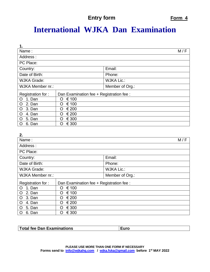# **International WJKA Dan Examination**

| 1.                      |                                          |                   |  |
|-------------------------|------------------------------------------|-------------------|--|
| Name:                   |                                          | M/F               |  |
| Address:                |                                          |                   |  |
| PC Place:               |                                          |                   |  |
| Country:                |                                          | Email:            |  |
| Date of Birth:          |                                          | Phone:            |  |
| <b>WJKA Grade:</b>      |                                          | <b>WJKA Lic.:</b> |  |
| <b>WJKA Member nr.:</b> |                                          | Member of Org.:   |  |
| Registration for:       | Dan Examination fee + Registration fee : |                   |  |
| 1. Dan<br>O             | € 100<br>O                               |                   |  |
| O<br>2. Dan             | € 100<br>O                               |                   |  |
| $\mathsf{O}$<br>3. Dan  | € 200<br>O                               |                   |  |
| O<br>4. Dan             | € 200<br>O                               |                   |  |
| O<br>5. Dan             | € 300<br>O                               |                   |  |
| 6. Dan<br>O             | € 300<br>O                               |                   |  |

| 2.                       |                                          |                   |     |
|--------------------------|------------------------------------------|-------------------|-----|
| Name:                    |                                          |                   | M/F |
| Address:                 |                                          |                   |     |
| PC Place:                |                                          |                   |     |
| Country:                 |                                          | Email:            |     |
| Date of Birth:           |                                          | Phone:            |     |
| <b>WJKA Grade:</b>       |                                          | <b>WJKA Lic.:</b> |     |
| <b>WJKA Member nr.:</b>  |                                          | Member of Org.:   |     |
| Registration for:        | Dan Examination fee + Registration fee : |                   |     |
| 1. Dan<br>O              | € 100<br>O                               |                   |     |
| 2. Dan<br>O              | € 100<br>O                               |                   |     |
| $\overline{O}$<br>3. Dan | € 200<br>O                               |                   |     |
| $\circ$<br>4. Dan        | € 200<br>O                               |                   |     |
| O<br>5. Dan              | € 300<br>O                               |                   |     |
| 6. Dan<br>O              | € 300<br>Ω                               |                   |     |

| Total fee Dan Examinations | <b>Euro</b> |
|----------------------------|-------------|
|                            |             |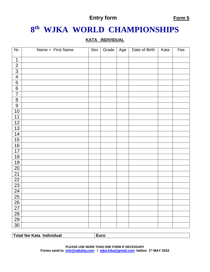# **th WJKA WORLD CHAMPIONSHIPS**

#### **KATA INDIVIDUAL**

| Nr.             | Name + First Name | Sex | Grade | Age | Date of Birth | Kata | $\overline{Fe}$ e |
|-----------------|-------------------|-----|-------|-----|---------------|------|-------------------|
| $\mathbf 1$     |                   |     |       |     |               |      |                   |
| $\overline{2}$  |                   |     |       |     |               |      |                   |
| $\overline{3}$  |                   |     |       |     |               |      |                   |
| $\overline{4}$  |                   |     |       |     |               |      |                   |
| $\frac{5}{6}$   |                   |     |       |     |               |      |                   |
|                 |                   |     |       |     |               |      |                   |
| $\overline{7}$  |                   |     |       |     |               |      |                   |
| $\overline{8}$  |                   |     |       |     |               |      |                   |
| 9               |                   |     |       |     |               |      |                   |
| 10              |                   |     |       |     |               |      |                   |
| 11              |                   |     |       |     |               |      |                   |
| 12              |                   |     |       |     |               |      |                   |
| 13              |                   |     |       |     |               |      |                   |
| 14              |                   |     |       |     |               |      |                   |
| 15              |                   |     |       |     |               |      |                   |
| 16              |                   |     |       |     |               |      |                   |
| 17              |                   |     |       |     |               |      |                   |
| 18              |                   |     |       |     |               |      |                   |
| 19              |                   |     |       |     |               |      |                   |
| 20              |                   |     |       |     |               |      |                   |
| $\overline{21}$ |                   |     |       |     |               |      |                   |
| $\overline{22}$ |                   |     |       |     |               |      |                   |
| 23              |                   |     |       |     |               |      |                   |
| 24              |                   |     |       |     |               |      |                   |
| $\overline{25}$ |                   |     |       |     |               |      |                   |
| 26              |                   |     |       |     |               |      |                   |
| $\overline{27}$ |                   |     |       |     |               |      |                   |
| $\overline{28}$ |                   |     |       |     |               |      |                   |
| 29              |                   |     |       |     |               |      |                   |
| 30              |                   |     |       |     |               |      |                   |

**Total fee Kata Individual Euro**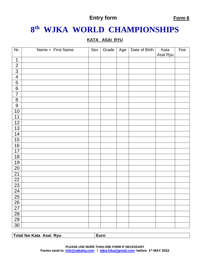# **th WJKA WORLD CHAMPIONSHIPS**

#### **KATA ASAI RYU**

| Nr.             | Name + First Name | Sex | Grade | Age | Date of Birth | Kata<br>Asai Ryu | Fee |
|-----------------|-------------------|-----|-------|-----|---------------|------------------|-----|
| $\mathbf 1$     |                   |     |       |     |               |                  |     |
| $\overline{2}$  |                   |     |       |     |               |                  |     |
| $\overline{3}$  |                   |     |       |     |               |                  |     |
| $\overline{4}$  |                   |     |       |     |               |                  |     |
| $\overline{5}$  |                   |     |       |     |               |                  |     |
| $\overline{6}$  |                   |     |       |     |               |                  |     |
| $\overline{7}$  |                   |     |       |     |               |                  |     |
| $\overline{8}$  |                   |     |       |     |               |                  |     |
| $\overline{9}$  |                   |     |       |     |               |                  |     |
| 10              |                   |     |       |     |               |                  |     |
| 11              |                   |     |       |     |               |                  |     |
| 12              |                   |     |       |     |               |                  |     |
| 13              |                   |     |       |     |               |                  |     |
| 14              |                   |     |       |     |               |                  |     |
| 15              |                   |     |       |     |               |                  |     |
| 16              |                   |     |       |     |               |                  |     |
| 17              |                   |     |       |     |               |                  |     |
| 18              |                   |     |       |     |               |                  |     |
| 19              |                   |     |       |     |               |                  |     |
| 20              |                   |     |       |     |               |                  |     |
| 21              |                   |     |       |     |               |                  |     |
| 22              |                   |     |       |     |               |                  |     |
| $\overline{23}$ |                   |     |       |     |               |                  |     |
| 24              |                   |     |       |     |               |                  |     |
| $\overline{25}$ |                   |     |       |     |               |                  |     |
| <u>26</u>       |                   |     |       |     |               |                  |     |
| $\overline{27}$ |                   |     |       |     |               |                  |     |
| 28              |                   |     |       |     |               |                  |     |
| $\overline{29}$ |                   |     |       |     |               |                  |     |
| 30              |                   |     |       |     |               |                  |     |

**Total fee Kata Asai Ryu Euro**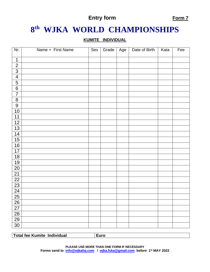# **th WJKA WORLD CHAMPIONSHIPS**

#### **KUMITE INDIVIDUAL**

| Nr.             | Name + First Name | Sex | Grade | Age | Date of Birth | Kata | Fee |
|-----------------|-------------------|-----|-------|-----|---------------|------|-----|
| $\mathbf 1$     |                   |     |       |     |               |      |     |
| $\overline{2}$  |                   |     |       |     |               |      |     |
| $\frac{3}{4}$   |                   |     |       |     |               |      |     |
|                 |                   |     |       |     |               |      |     |
| $\frac{5}{6}$   |                   |     |       |     |               |      |     |
|                 |                   |     |       |     |               |      |     |
| $\overline{7}$  |                   |     |       |     |               |      |     |
| $\overline{8}$  |                   |     |       |     |               |      |     |
| $\overline{9}$  |                   |     |       |     |               |      |     |
| 10              |                   |     |       |     |               |      |     |
| 11              |                   |     |       |     |               |      |     |
| 12              |                   |     |       |     |               |      |     |
| 13              |                   |     |       |     |               |      |     |
| 14              |                   |     |       |     |               |      |     |
| 15              |                   |     |       |     |               |      |     |
| 16              |                   |     |       |     |               |      |     |
| 17              |                   |     |       |     |               |      |     |
| 18              |                   |     |       |     |               |      |     |
| 19              |                   |     |       |     |               |      |     |
| 20              |                   |     |       |     |               |      |     |
| 21              |                   |     |       |     |               |      |     |
| $\overline{22}$ |                   |     |       |     |               |      |     |
| 23              |                   |     |       |     |               |      |     |
| 24              |                   |     |       |     |               |      |     |
| $\overline{25}$ |                   |     |       |     |               |      |     |
| <u>26</u>       |                   |     |       |     |               |      |     |
| $\overline{27}$ |                   |     |       |     |               |      |     |
| 28              |                   |     |       |     |               |      |     |
| 29              |                   |     |       |     |               |      |     |
| 30              |                   |     |       |     |               |      |     |

**Total fee Kumite Individual Euro**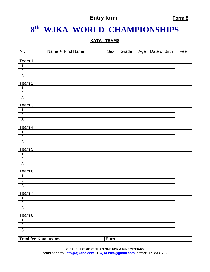# **th WJKA WORLD CHAMPIONSHIPS**

#### **KATA TEAMS**

| Nr.               | Name + First Name           | Sex  | Grade | Age | Date of Birth | Fee |  |  |
|-------------------|-----------------------------|------|-------|-----|---------------|-----|--|--|
|                   | Team 1                      |      |       |     |               |     |  |  |
| 1                 |                             |      |       |     |               |     |  |  |
| $\overline{2}$    |                             |      |       |     |               |     |  |  |
| $\overline{3}$    |                             |      |       |     |               |     |  |  |
| Team <sub>2</sub> |                             |      |       |     |               |     |  |  |
| 1                 |                             |      |       |     |               |     |  |  |
| $\overline{2}$    |                             |      |       |     |               |     |  |  |
| $\overline{3}$    |                             |      |       |     |               |     |  |  |
| Team 3            |                             |      |       |     |               |     |  |  |
| 1                 |                             |      |       |     |               |     |  |  |
| $\overline{2}$    |                             |      |       |     |               |     |  |  |
| $\overline{3}$    |                             |      |       |     |               |     |  |  |
| Team 4            |                             |      |       |     |               |     |  |  |
| 1                 |                             |      |       |     |               |     |  |  |
| $\overline{2}$    |                             |      |       |     |               |     |  |  |
| $\overline{3}$    |                             |      |       |     |               |     |  |  |
| Team 5            |                             |      |       |     |               |     |  |  |
| $\mathbf 1$       |                             |      |       |     |               |     |  |  |
| $\overline{2}$    |                             |      |       |     |               |     |  |  |
| $\overline{3}$    |                             |      |       |     |               |     |  |  |
| Team 6            |                             |      |       |     |               |     |  |  |
| 1                 |                             |      |       |     |               |     |  |  |
| $\overline{2}$    |                             |      |       |     |               |     |  |  |
| $\overline{3}$    |                             |      |       |     |               |     |  |  |
| Team 7            |                             |      |       |     |               |     |  |  |
| $\mathbf{1}$      |                             |      |       |     |               |     |  |  |
| $\overline{2}$    |                             |      |       |     |               |     |  |  |
| $\overline{3}$    |                             |      |       |     |               |     |  |  |
| Team 8            |                             |      |       |     |               |     |  |  |
| 1                 |                             |      |       |     |               |     |  |  |
| $\overline{2}$    |                             |      |       |     |               |     |  |  |
| 3                 |                             |      |       |     |               |     |  |  |
|                   |                             |      |       |     |               |     |  |  |
|                   | <b>Total fee Kata teams</b> | Euro |       |     |               |     |  |  |

**PLEASE USE MORE THAN ONE FORM IF NECESSARY Forms send to [info@wjkahq.com](mailto:info@wjkahq.com) / [wjka.fska@gmail.com](mailto:wjka.fska@gmail.com) before 1st MAY 2022**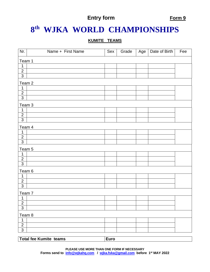# **th WJKA WORLD CHAMPIONSHIPS**

#### **KUMITE TEAMS**

| Nr.               | Name + First Name             | Sex         | Grade | Age | Date of Birth | Fee |  |  |
|-------------------|-------------------------------|-------------|-------|-----|---------------|-----|--|--|
|                   | Team 1                        |             |       |     |               |     |  |  |
| 1                 |                               |             |       |     |               |     |  |  |
| $\overline{2}$    |                               |             |       |     |               |     |  |  |
| $\mathbf{3}$      |                               |             |       |     |               |     |  |  |
| Team 2            |                               |             |       |     |               |     |  |  |
| $\mathbf 1$       |                               |             |       |     |               |     |  |  |
| $\overline{2}$    |                               |             |       |     |               |     |  |  |
| $\overline{3}$    |                               |             |       |     |               |     |  |  |
| Team 3            |                               |             |       |     |               |     |  |  |
| 1                 |                               |             |       |     |               |     |  |  |
| $\overline{2}$    |                               |             |       |     |               |     |  |  |
| $\overline{3}$    |                               |             |       |     |               |     |  |  |
| Team 4            |                               |             |       |     |               |     |  |  |
| 1                 |                               |             |       |     |               |     |  |  |
| $\overline{2}$    |                               |             |       |     |               |     |  |  |
| $\overline{3}$    |                               |             |       |     |               |     |  |  |
| Team 5            |                               |             |       |     |               |     |  |  |
| $\mathbf 1$       |                               |             |       |     |               |     |  |  |
| $\overline{2}$    |                               |             |       |     |               |     |  |  |
| $\overline{3}$    |                               |             |       |     |               |     |  |  |
| Team 6            |                               |             |       |     |               |     |  |  |
| 1                 |                               |             |       |     |               |     |  |  |
| $\overline{2}$    |                               |             |       |     |               |     |  |  |
| $\overline{3}$    |                               |             |       |     |               |     |  |  |
| Team <sub>7</sub> |                               |             |       |     |               |     |  |  |
| 1                 |                               |             |       |     |               |     |  |  |
| $\overline{2}$    |                               |             |       |     |               |     |  |  |
| $\overline{3}$    |                               |             |       |     |               |     |  |  |
| Team 8            |                               |             |       |     |               |     |  |  |
| 1                 |                               |             |       |     |               |     |  |  |
| $\overline{2}$    |                               |             |       |     |               |     |  |  |
| $\overline{3}$    |                               |             |       |     |               |     |  |  |
|                   | <b>Total fee Kumite teams</b> | <b>Euro</b> |       |     |               |     |  |  |

**PLEASE USE MORE THAN ONE FORM IF NECESSARY Forms send to [info@wjkahq.com](mailto:info@wjkahq.com) / [wjka.fska@gmail.com](mailto:wjka.fska@gmail.com) before 1st MAY 2022**